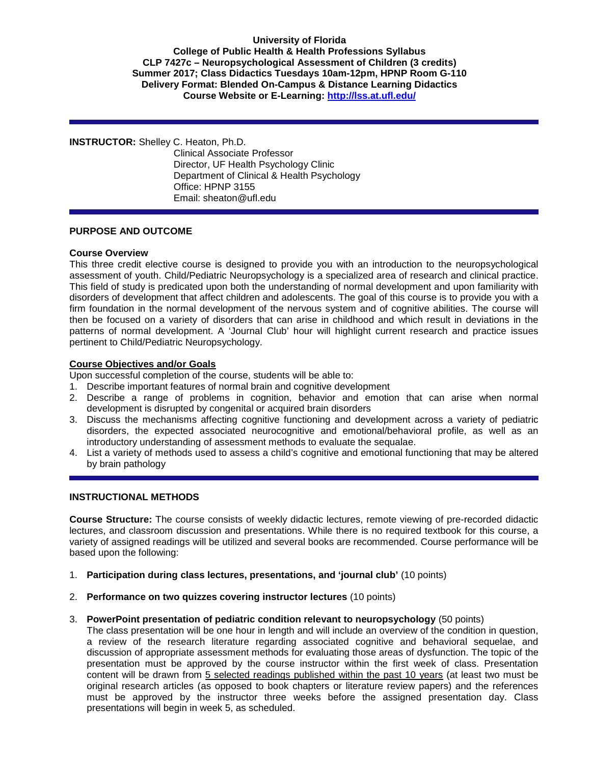### **University of Florida College of Public Health & Health Professions Syllabus CLP 7427c – Neuropsychological Assessment of Children (3 credits) Summer 2017; Class Didactics Tuesdays 10am-12pm, HPNP Room G-110 Delivery Format: Blended On-Campus & Distance Learning Didactics Course Website or E-Learning:<http://lss.at.ufl.edu/>**

#### **INSTRUCTOR:** Shelley C. Heaton, Ph.D.

Clinical Associate Professor Director, UF Health Psychology Clinic Department of Clinical & Health Psychology Office: HPNP 3155 Email: sheaton@ufl.edu

## **PURPOSE AND OUTCOME**

### **Course Overview**

This three credit elective course is designed to provide you with an introduction to the neuropsychological assessment of youth. Child/Pediatric Neuropsychology is a specialized area of research and clinical practice. This field of study is predicated upon both the understanding of normal development and upon familiarity with disorders of development that affect children and adolescents. The goal of this course is to provide you with a firm foundation in the normal development of the nervous system and of cognitive abilities. The course will then be focused on a variety of disorders that can arise in childhood and which result in deviations in the patterns of normal development. A 'Journal Club' hour will highlight current research and practice issues pertinent to Child/Pediatric Neuropsychology.

## **Course Objectives and/or Goals**

Upon successful completion of the course, students will be able to:

- 1. Describe important features of normal brain and cognitive development
- 2. Describe a range of problems in cognition, behavior and emotion that can arise when normal development is disrupted by congenital or acquired brain disorders
- 3. Discuss the mechanisms affecting cognitive functioning and development across a variety of pediatric disorders, the expected associated neurocognitive and emotional/behavioral profile, as well as an introductory understanding of assessment methods to evaluate the sequalae.
- 4. List a variety of methods used to assess a child's cognitive and emotional functioning that may be altered by brain pathology

### **INSTRUCTIONAL METHODS**

**Course Structure:** The course consists of weekly didactic lectures, remote viewing of pre-recorded didactic lectures, and classroom discussion and presentations. While there is no required textbook for this course, a variety of assigned readings will be utilized and several books are recommended. Course performance will be based upon the following:

- 1. **Participation during class lectures, presentations, and 'journal club'** (10 points)
- 2. **Performance on two quizzes covering instructor lectures** (10 points)

### 3. **PowerPoint presentation of pediatric condition relevant to neuropsychology** (50 points)

The class presentation will be one hour in length and will include an overview of the condition in question, a review of the research literature regarding associated cognitive and behavioral sequelae, and discussion of appropriate assessment methods for evaluating those areas of dysfunction. The topic of the presentation must be approved by the course instructor within the first week of class. Presentation content will be drawn from 5 selected readings published within the past 10 years (at least two must be original research articles (as opposed to book chapters or literature review papers) and the references must be approved by the instructor three weeks before the assigned presentation day. Class presentations will begin in week 5, as scheduled.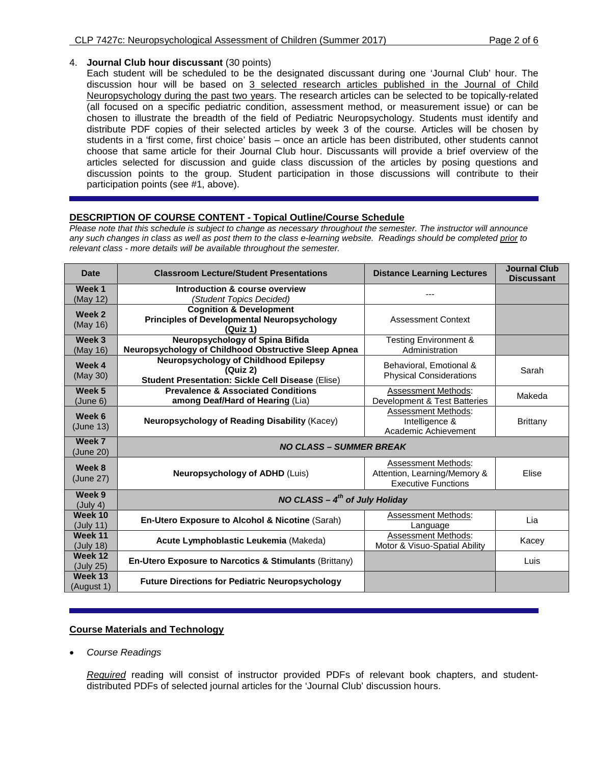## 4. **Journal Club hour discussant** (30 points)

Each student will be scheduled to be the designated discussant during one 'Journal Club' hour. The discussion hour will be based on 3 selected research articles published in the Journal of Child Neuropsychology during the past two years. The research articles can be selected to be topically-related (all focused on a specific pediatric condition, assessment method, or measurement issue) or can be chosen to illustrate the breadth of the field of Pediatric Neuropsychology. Students must identify and distribute PDF copies of their selected articles by week 3 of the course. Articles will be chosen by students in a 'first come, first choice' basis – once an article has been distributed, other students cannot choose that same article for their Journal Club hour. Discussants will provide a brief overview of the articles selected for discussion and guide class discussion of the articles by posing questions and discussion points to the group. Student participation in those discussions will contribute to their participation points (see #1, above).

# **DESCRIPTION OF COURSE CONTENT - Topical Outline/Course Schedule**

*Please note that this schedule is subject to change as necessary throughout the semester. The instructor will announce any such changes in class as well as post them to the class e-learning website. Readings should be completed prior to relevant class - more details will be available throughout the semester.*

| <b>Date</b>           | <b>Classroom Lecture/Student Presentations</b>                                                                       | <b>Distance Learning Lectures</b>                                                        | <b>Journal Club</b><br><b>Discussant</b> |  |  |  |  |  |  |  |  |  |
|-----------------------|----------------------------------------------------------------------------------------------------------------------|------------------------------------------------------------------------------------------|------------------------------------------|--|--|--|--|--|--|--|--|--|
| Week 1<br>(May 12)    | Introduction & course overview<br>(Student Topics Decided)                                                           |                                                                                          |                                          |  |  |  |  |  |  |  |  |  |
| Week 2<br>(May 16)    | <b>Cognition &amp; Development</b><br><b>Principles of Developmental Neuropsychology</b><br>(Quiz 1)                 | <b>Assessment Context</b>                                                                |                                          |  |  |  |  |  |  |  |  |  |
| Week 3<br>(May 16)    | Neuropsychology of Spina Bifida<br>Neuropsychology of Childhood Obstructive Sleep Apnea                              | <b>Testing Environment &amp;</b><br>Administration                                       |                                          |  |  |  |  |  |  |  |  |  |
| Week 4<br>(May 30)    | <b>Neuropsychology of Childhood Epilepsy</b><br>(Quiz 2)<br><b>Student Presentation: Sickle Cell Disease (Elise)</b> | Behavioral, Emotional &<br><b>Physical Considerations</b>                                | Sarah                                    |  |  |  |  |  |  |  |  |  |
| Week 5<br>(June 6)    | <b>Prevalence &amp; Associated Conditions</b><br>among Deaf/Hard of Hearing (Lia)                                    | Assessment Methods:<br>Development & Test Batteries                                      | Makeda                                   |  |  |  |  |  |  |  |  |  |
| Week 6<br>(June 13)   | Neuropsychology of Reading Disability (Kacey)                                                                        | <b>Assessment Methods:</b><br>Intelligence &<br>Academic Achievement                     | <b>Brittany</b>                          |  |  |  |  |  |  |  |  |  |
| Week 7<br>(June 20)   | <b>NO CLASS – SUMMER BREAK</b>                                                                                       |                                                                                          |                                          |  |  |  |  |  |  |  |  |  |
| Week 8<br>(June 27)   | <b>Neuropsychology of ADHD (Luis)</b>                                                                                | <b>Assessment Methods:</b><br>Attention, Learning/Memory &<br><b>Executive Functions</b> | Elise                                    |  |  |  |  |  |  |  |  |  |
| Week 9<br>(July 4)    | NO CLASS $-4th$ of July Holiday                                                                                      |                                                                                          |                                          |  |  |  |  |  |  |  |  |  |
| Week 10<br>(July 11)  | En-Utero Exposure to Alcohol & Nicotine (Sarah)                                                                      | <b>Assessment Methods:</b><br>Language                                                   | Lia                                      |  |  |  |  |  |  |  |  |  |
| Week 11<br>(July 18)  | Acute Lymphoblastic Leukemia (Makeda)                                                                                | <b>Assessment Methods:</b><br>Motor & Visuo-Spatial Ability                              | Kacey                                    |  |  |  |  |  |  |  |  |  |
| Week 12<br>(July 25)  | En-Utero Exposure to Narcotics & Stimulants (Brittany)                                                               |                                                                                          | Luis                                     |  |  |  |  |  |  |  |  |  |
| Week 13<br>(August 1) | <b>Future Directions for Pediatric Neuropsychology</b>                                                               |                                                                                          |                                          |  |  |  |  |  |  |  |  |  |

## **Course Materials and Technology**

• *Course Readings*

*Required* reading will consist of instructor provided PDFs of relevant book chapters, and studentdistributed PDFs of selected journal articles for the 'Journal Club' discussion hours.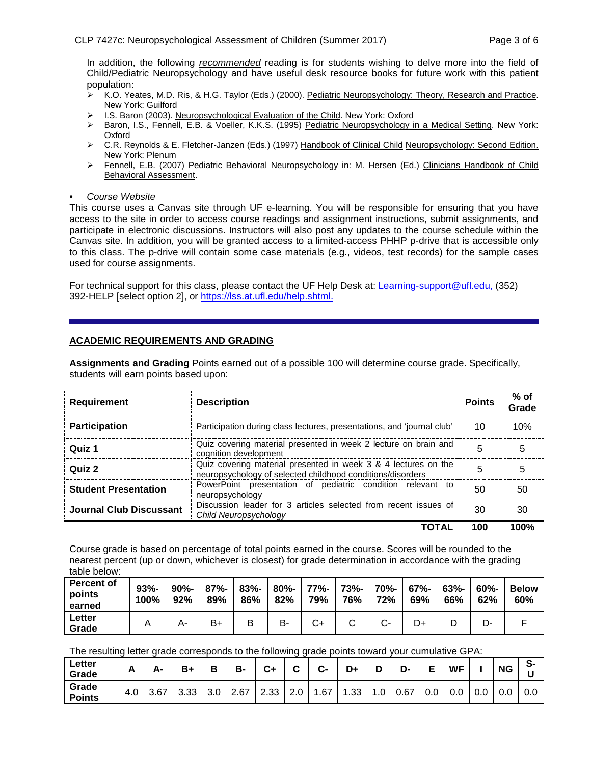In addition, the following *recommended* reading is for students wishing to delve more into the field of Child/Pediatric Neuropsychology and have useful desk resource books for future work with this patient population:

- ▶ K.O. Yeates, M.D. Ris, & H.G. Taylor (Eds.) (2000). Pediatric Neuropsychology: Theory, Research and Practice. New York: Guilford
- ▶ I.S. Baron (2003). Neuropsychological Evaluation of the Child. New York: Oxford
- ▶ Baron, I.S., Fennell, E.B. & Voeller, K.K.S. (1995) Pediatric Neuropsychology in a Medical Setting. New York: Oxford
- C.R. Reynolds & E. Fletcher-Janzen (Eds.) (1997) Handbook of Clinical Child Neuropsychology: Second Edition. New York: Plenum
- Fennell, E.B. (2007) Pediatric Behavioral Neuropsychology in: M. Hersen (Ed.) Clinicians Handbook of Child Behavioral Assessment.
- *Course Website*

This course uses a Canvas site through UF e-learning. You will be responsible for ensuring that you have access to the site in order to access course readings and assignment instructions, submit assignments, and participate in electronic discussions. Instructors will also post any updates to the course schedule within the Canvas site. In addition, you will be granted access to a limited-access PHHP p-drive that is accessible only to this class. The p-drive will contain some case materials (e.g., videos, test records) for the sample cases used for course assignments.

For technical support for this class, please contact the UF Help Desk at: Learning-support@ufl.edu, (352) 392-HELP [select option 2], or [https://lss.at.ufl.edu/help.shtml.](https://lss.at.ufl.edu/help.shtml)

## **ACADEMIC REQUIREMENTS AND GRADING**

**Assignments and Grading** Points earned out of a possible 100 will determine course grade. Specifically, students will earn points based upon:

| <b>Requirement</b>          | <b>Description</b>                                                                                                           | <b>Points</b> | $%$ of<br>Grade |
|-----------------------------|------------------------------------------------------------------------------------------------------------------------------|---------------|-----------------|
| <b>Participation</b>        | Participation during class lectures, presentations, and 'journal club'                                                       | 10            | 10%             |
| Quiz 1                      | Quiz covering material presented in week 2 lecture on brain and<br>cognition development                                     |               |                 |
| Quiz 2                      | Quiz covering material presented in week 3 & 4 lectures on the<br>neuropsychology of selected childhood conditions/disorders | 5             |                 |
| <b>Student Presentation</b> | PowerPoint presentation of pediatric condition relevant to<br>neuropsychology                                                | 50            | 50              |
| Journal Club Discussant     | Discussion leader for 3 articles selected from recent issues of<br>Child Neuropsychology                                     | 30            | 30              |
|                             |                                                                                                                              | 100           | 100%            |

Course grade is based on percentage of total points earned in the course. Scores will be rounded to the nearest percent (up or down, whichever is closest) for grade determination in accordance with the grading table below:

| <b>Percent of</b><br>points<br>earned | $93% -$<br>100% | $90% -$<br>92% | $87% -$<br>89% | $83% -$<br>86% | $80% -$<br>82% | 77%-<br>79% | 73%-<br>76% | 70%-<br>72% | $67% -$<br>69% | $63% -$<br>66% | $60\%$ -<br>62% | <b>Below</b><br>60% |
|---------------------------------------|-----------------|----------------|----------------|----------------|----------------|-------------|-------------|-------------|----------------|----------------|-----------------|---------------------|
| Letter<br>Grade                       |                 |                | B+             | D              | в-             | ີ∽          |             | ◡-          | D+             | ◡              | -ب              |                     |

The resulting letter grade corresponds to the following grade points toward your cumulative GPA:

| Letter<br>Grade        | Δ<br><u>r</u> | А-   | B+   | D<br>D           | в-   | <u>r</u> .<br>v1 | ⌒<br>ັ | $\sim$<br>$\overline{\mathbf{v}}$ | D+  | ∍   | D-   |     | <b>WF</b> |     | <b>NG</b> | ິ<br>.১-<br>. . |
|------------------------|---------------|------|------|------------------|------|------------------|--------|-----------------------------------|-----|-----|------|-----|-----------|-----|-----------|-----------------|
| Grade<br><b>Points</b> | 4.0           | 3.67 | 3.33 | 3.0 <sub>2</sub> | 2.67 | 2.33             | 2.0    | .67                               | .33 | 1.U | 0.67 | 0.0 | 0.0       | 0.0 | 0.0       | 0.0             |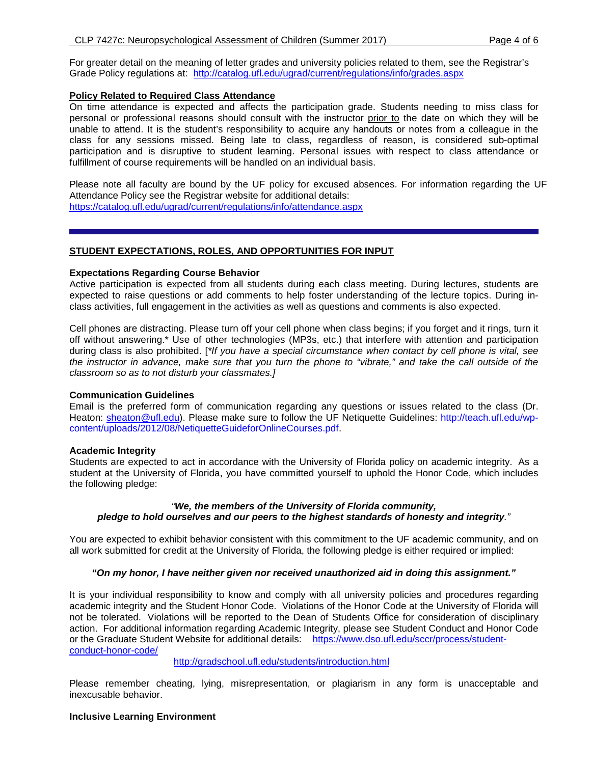For greater detail on the meaning of letter grades and university policies related to them, see the Registrar's Grade Policy regulations at: <http://catalog.ufl.edu/ugrad/current/regulations/info/grades.aspx>

# **Policy Related to Required Class Attendance**

On time attendance is expected and affects the participation grade. Students needing to miss class for personal or professional reasons should consult with the instructor prior to the date on which they will be unable to attend. It is the student's responsibility to acquire any handouts or notes from a colleague in the class for any sessions missed. Being late to class, regardless of reason, is considered sub-optimal participation and is disruptive to student learning. Personal issues with respect to class attendance or fulfillment of course requirements will be handled on an individual basis.

Please note all faculty are bound by the UF policy for excused absences. For information regarding the UF Attendance Policy see the Registrar website for additional details: <https://catalog.ufl.edu/ugrad/current/regulations/info/attendance.aspx>

## **STUDENT EXPECTATIONS, ROLES, AND OPPORTUNITIES FOR INPUT**

### **Expectations Regarding Course Behavior**

Active participation is expected from all students during each class meeting. During lectures, students are expected to raise questions or add comments to help foster understanding of the lecture topics. During inclass activities, full engagement in the activities as well as questions and comments is also expected.

Cell phones are distracting. Please turn off your cell phone when class begins; if you forget and it rings, turn it off without answering.\* Use of other technologies (MP3s, etc.) that interfere with attention and participation during class is also prohibited. [*\*If you have a special circumstance when contact by cell phone is vital, see the instructor in advance, make sure that you turn the phone to "vibrate," and take the call outside of the classroom so as to not disturb your classmates.]*

### **Communication Guidelines**

Email is the preferred form of communication regarding any questions or issues related to the class (Dr. Heaton: [sheaton@ufl.edu\)](mailto:sheaton@ufl.edu). Please make sure to follow the UF Netiquette Guidelines: [http://teach.ufl.edu/wp](http://teach.ufl.edu/wp-content/uploads/2012/08/NetiquetteGuideforOnlineCourses.pdf)[content/uploads/2012/08/NetiquetteGuideforOnlineCourses.pdf.](http://teach.ufl.edu/wp-content/uploads/2012/08/NetiquetteGuideforOnlineCourses.pdf)

#### **Academic Integrity**

Students are expected to act in accordance with the University of Florida policy on academic integrity. As a student at the University of Florida, you have committed yourself to uphold the Honor Code, which includes the following pledge:

## *"We, the members of the University of Florida community, pledge to hold ourselves and our peers to the highest standards of honesty and integrity."*

You are expected to exhibit behavior consistent with this commitment to the UF academic community, and on all work submitted for credit at the University of Florida, the following pledge is either required or implied:

### *"On my honor, I have neither given nor received unauthorized aid in doing this assignment."*

It is your individual responsibility to know and comply with all university policies and procedures regarding academic integrity and the Student Honor Code. Violations of the Honor Code at the University of Florida will not be tolerated. Violations will be reported to the Dean of Students Office for consideration of disciplinary action. For additional information regarding Academic Integrity, please see Student Conduct and Honor Code or the Graduate Student Website for additional details: [https://www.dso.ufl.edu/sccr/process/student](https://www.dso.ufl.edu/sccr/process/student-conduct-honor-code/)[conduct-honor-code/](https://www.dso.ufl.edu/sccr/process/student-conduct-honor-code/)

<http://gradschool.ufl.edu/students/introduction.html>

Please remember cheating, lying, misrepresentation, or plagiarism in any form is unacceptable and inexcusable behavior.

### **Inclusive Learning Environment**